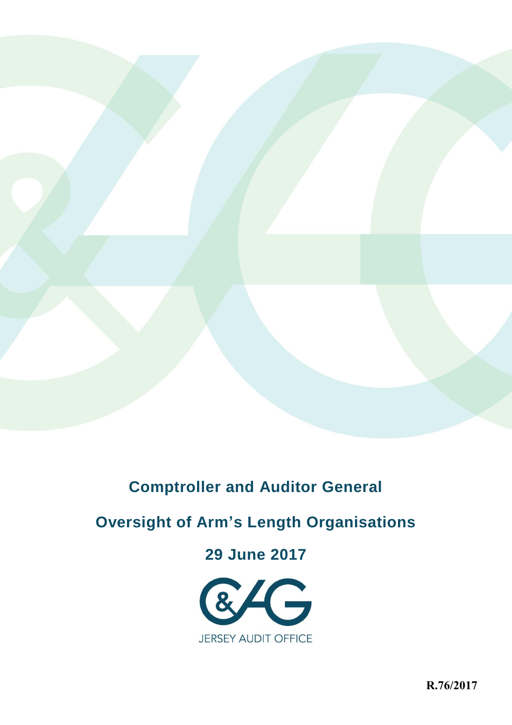

# **Comptroller and Auditor General**

# **Oversight of Arm's Length Organisations**

# **29 June 2017**



**R.76/2017**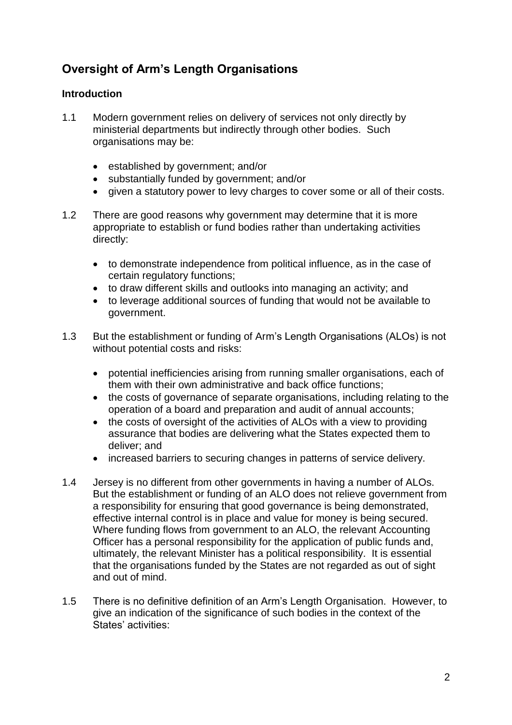# **Oversight of Arm's Length Organisations**

# **Introduction**

- 1.1 Modern government relies on delivery of services not only directly by ministerial departments but indirectly through other bodies. Such organisations may be:
	- established by government; and/or
	- substantially funded by government; and/or
	- given a statutory power to levy charges to cover some or all of their costs.
- 1.2 There are good reasons why government may determine that it is more appropriate to establish or fund bodies rather than undertaking activities directly:
	- to demonstrate independence from political influence, as in the case of certain regulatory functions;
	- to draw different skills and outlooks into managing an activity; and
	- to leverage additional sources of funding that would not be available to government.
- 1.3 But the establishment or funding of Arm's Length Organisations (ALOs) is not without potential costs and risks:
	- potential inefficiencies arising from running smaller organisations, each of them with their own administrative and back office functions;
	- the costs of governance of separate organisations, including relating to the operation of a board and preparation and audit of annual accounts;
	- the costs of oversight of the activities of ALOs with a view to providing assurance that bodies are delivering what the States expected them to deliver; and
	- increased barriers to securing changes in patterns of service delivery.
- 1.4 Jersey is no different from other governments in having a number of ALOs. But the establishment or funding of an ALO does not relieve government from a responsibility for ensuring that good governance is being demonstrated, effective internal control is in place and value for money is being secured. Where funding flows from government to an ALO, the relevant Accounting Officer has a personal responsibility for the application of public funds and, ultimately, the relevant Minister has a political responsibility. It is essential that the organisations funded by the States are not regarded as out of sight and out of mind.
- 1.5 There is no definitive definition of an Arm's Length Organisation. However, to give an indication of the significance of such bodies in the context of the States' activities: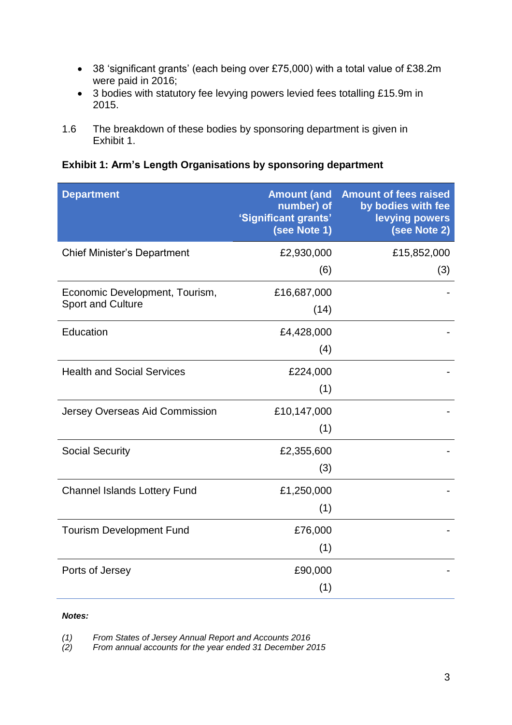- 38 'significant grants' (each being over £75,000) with a total value of £38.2m were paid in 2016;
- 3 bodies with statutory fee levying powers levied fees totalling £15.9m in 2015.
- 1.6 The breakdown of these bodies by sponsoring department is given in Exhibit 1.

**Exhibit 1: Arm's Length Organisations by sponsoring department**

| <b>Department</b>                                          | number) of<br>'Significant grants'<br>(see Note 1) | <b>Amount (and Amount of fees raised</b><br>by bodies with fee<br>levying powers<br>(see Note 2) |
|------------------------------------------------------------|----------------------------------------------------|--------------------------------------------------------------------------------------------------|
| <b>Chief Minister's Department</b>                         | £2,930,000                                         | £15,852,000                                                                                      |
|                                                            | (6)                                                | (3)                                                                                              |
| Economic Development, Tourism,<br><b>Sport and Culture</b> | £16,687,000                                        |                                                                                                  |
|                                                            | (14)                                               |                                                                                                  |
| Education                                                  | £4,428,000                                         |                                                                                                  |
|                                                            | (4)                                                |                                                                                                  |
| <b>Health and Social Services</b>                          | £224,000                                           |                                                                                                  |
|                                                            | (1)                                                |                                                                                                  |
| Jersey Overseas Aid Commission                             | £10,147,000                                        |                                                                                                  |
|                                                            | (1)                                                |                                                                                                  |
| <b>Social Security</b>                                     | £2,355,600                                         |                                                                                                  |
|                                                            | (3)                                                |                                                                                                  |
| <b>Channel Islands Lottery Fund</b>                        | £1,250,000                                         |                                                                                                  |
|                                                            | (1)                                                |                                                                                                  |
| <b>Tourism Development Fund</b>                            | £76,000                                            |                                                                                                  |
|                                                            | (1)                                                |                                                                                                  |
| Ports of Jersey                                            | £90,000                                            |                                                                                                  |
|                                                            | (1)                                                |                                                                                                  |

#### *Notes:*

*(1) From States of Jersey Annual Report and Accounts 2016*

*(2) From annual accounts for the year ended 31 December 2015*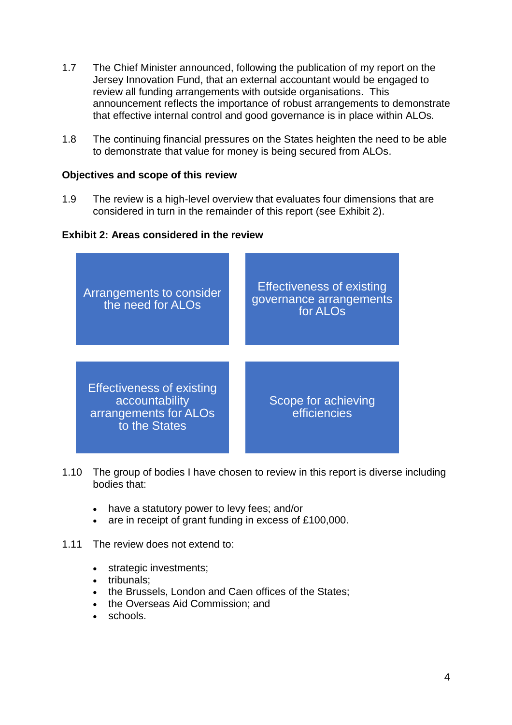- 1.7 The Chief Minister announced, following the publication of my report on the Jersey Innovation Fund, that an external accountant would be engaged to review all funding arrangements with outside organisations. This announcement reflects the importance of robust arrangements to demonstrate that effective internal control and good governance is in place within ALOs.
- 1.8 The continuing financial pressures on the States heighten the need to be able to demonstrate that value for money is being secured from ALOs.

#### **Objectives and scope of this review**

1.9 The review is a high-level overview that evaluates four dimensions that are considered in turn in the remainder of this report (see Exhibit 2).

#### **Exhibit 2: Areas considered in the review**



- 1.10 The group of bodies I have chosen to review in this report is diverse including bodies that:
	- have a statutory power to levy fees; and/or
	- are in receipt of grant funding in excess of £100,000.
- 1.11 The review does not extend to:
	- strategic investments;
	- tribunals:
	- the Brussels, London and Caen offices of the States;
	- the Overseas Aid Commission; and
	- schools.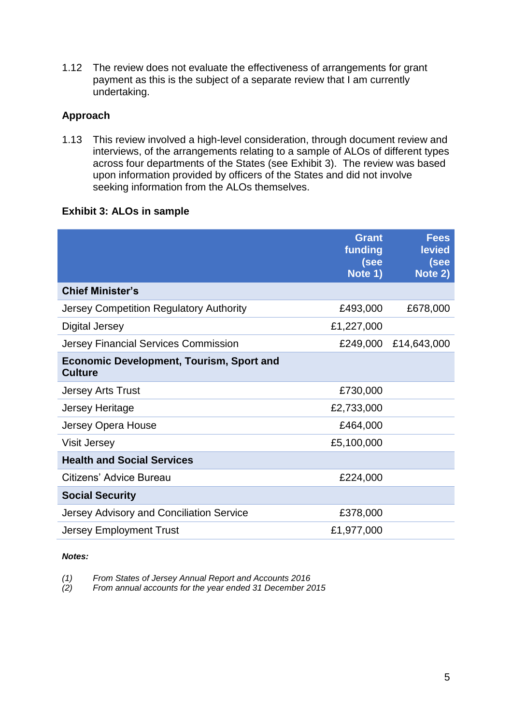1.12 The review does not evaluate the effectiveness of arrangements for grant payment as this is the subject of a separate review that I am currently undertaking.

# **Approach**

1.13 This review involved a high-level consideration, through document review and interviews, of the arrangements relating to a sample of ALOs of different types across four departments of the States (see Exhibit 3). The review was based upon information provided by officers of the States and did not involve seeking information from the ALOs themselves.

## **Exhibit 3: ALOs in sample**

|                                                                   | <b>Grant</b><br>funding<br>(see<br>Note 1) | <b>Fees</b><br><b>levied</b><br>(see<br>Note 2) |
|-------------------------------------------------------------------|--------------------------------------------|-------------------------------------------------|
| <b>Chief Minister's</b>                                           |                                            |                                                 |
| Jersey Competition Regulatory Authority                           | £493,000                                   | £678,000                                        |
| <b>Digital Jersey</b>                                             | £1,227,000                                 |                                                 |
| Jersey Financial Services Commission                              | £249,000                                   | £14,643,000                                     |
| <b>Economic Development, Tourism, Sport and</b><br><b>Culture</b> |                                            |                                                 |
| <b>Jersey Arts Trust</b>                                          | £730,000                                   |                                                 |
| <b>Jersey Heritage</b>                                            | £2,733,000                                 |                                                 |
| Jersey Opera House                                                | £464,000                                   |                                                 |
| <b>Visit Jersey</b>                                               | £5,100,000                                 |                                                 |
| <b>Health and Social Services</b>                                 |                                            |                                                 |
| Citizens' Advice Bureau                                           | £224,000                                   |                                                 |
| <b>Social Security</b>                                            |                                            |                                                 |
| Jersey Advisory and Conciliation Service                          | £378,000                                   |                                                 |
| <b>Jersey Employment Trust</b>                                    | £1,977,000                                 |                                                 |

#### *Notes:*

*(1) From States of Jersey Annual Report and Accounts 2016*

*(2) From annual accounts for the year ended 31 December 2015*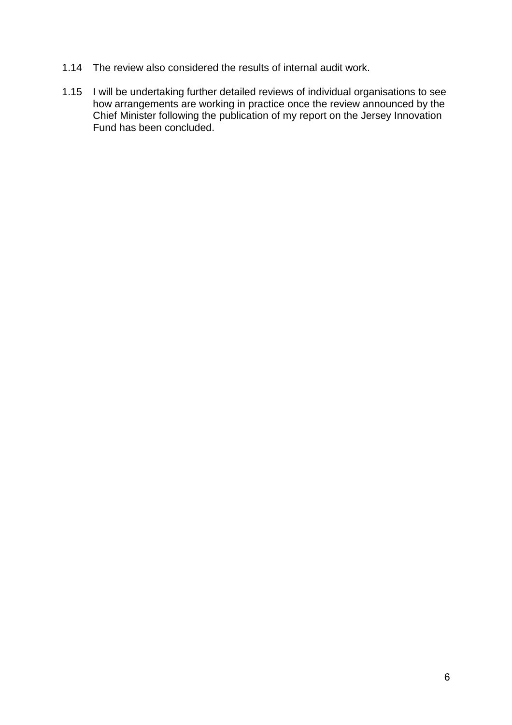- 1.14 The review also considered the results of internal audit work.
- 1.15 I will be undertaking further detailed reviews of individual organisations to see how arrangements are working in practice once the review announced by the Chief Minister following the publication of my report on the Jersey Innovation Fund has been concluded.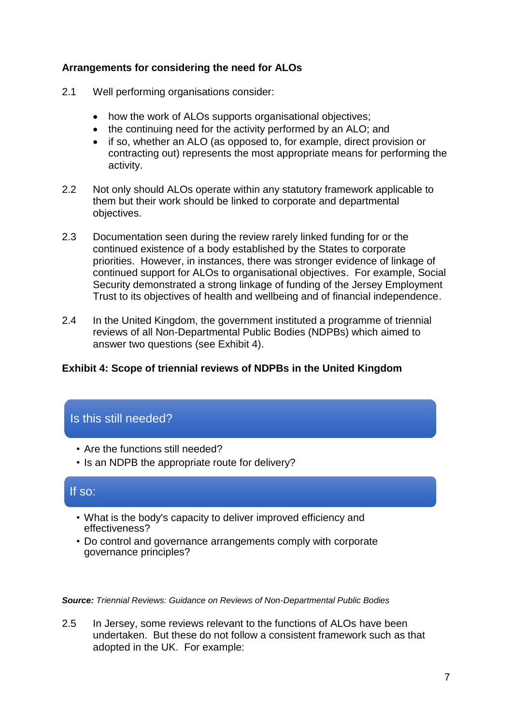# **Arrangements for considering the need for ALOs**

- 2.1 Well performing organisations consider:
	- how the work of ALOs supports organisational objectives;
	- the continuing need for the activity performed by an ALO; and
	- if so, whether an ALO (as opposed to, for example, direct provision or contracting out) represents the most appropriate means for performing the activity.
- 2.2 Not only should ALOs operate within any statutory framework applicable to them but their work should be linked to corporate and departmental objectives.
- 2.3 Documentation seen during the review rarely linked funding for or the continued existence of a body established by the States to corporate priorities. However, in instances, there was stronger evidence of linkage of continued support for ALOs to organisational objectives. For example, Social Security demonstrated a strong linkage of funding of the Jersey Employment Trust to its objectives of health and wellbeing and of financial independence.
- 2.4 In the United Kingdom, the government instituted a programme of triennial reviews of all Non-Departmental Public Bodies (NDPBs) which aimed to answer two questions (see Exhibit 4).

# **Exhibit 4: Scope of triennial reviews of NDPBs in the United Kingdom**

# Is this still needed?

- Are the functions still needed?
- Is an NDPB the appropriate route for delivery?

# If so:

- What is the body's capacity to deliver improved efficiency and effectiveness?
- Do control and governance arrangements comply with corporate governance principles?

*Source: Triennial Reviews: Guidance on Reviews of Non-Departmental Public Bodies*

2.5 In Jersey, some reviews relevant to the functions of ALOs have been undertaken. But these do not follow a consistent framework such as that adopted in the UK. For example: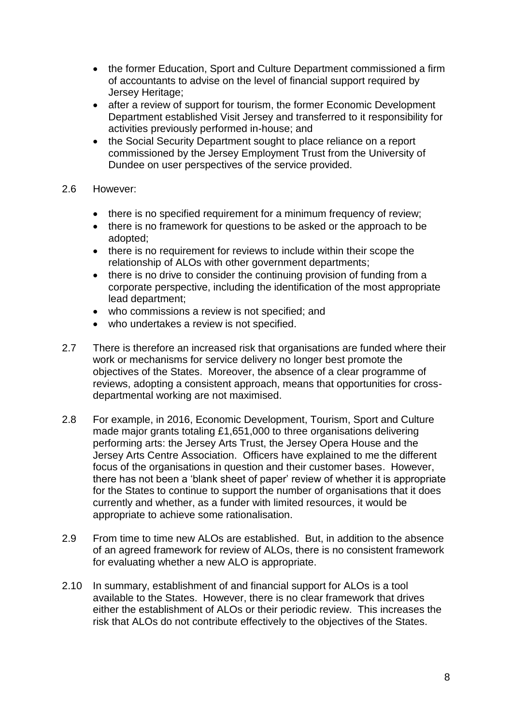- the former Education, Sport and Culture Department commissioned a firm of accountants to advise on the level of financial support required by Jersey Heritage;
- after a review of support for tourism, the former Economic Development Department established Visit Jersey and transferred to it responsibility for activities previously performed in-house; and
- the Social Security Department sought to place reliance on a report commissioned by the Jersey Employment Trust from the University of Dundee on user perspectives of the service provided.

#### 2.6 However:

- there is no specified requirement for a minimum frequency of review;
- there is no framework for questions to be asked or the approach to be adopted;
- there is no requirement for reviews to include within their scope the relationship of ALOs with other government departments;
- there is no drive to consider the continuing provision of funding from a corporate perspective, including the identification of the most appropriate lead department;
- who commissions a review is not specified; and
- who undertakes a review is not specified.
- 2.7 There is therefore an increased risk that organisations are funded where their work or mechanisms for service delivery no longer best promote the objectives of the States. Moreover, the absence of a clear programme of reviews, adopting a consistent approach, means that opportunities for crossdepartmental working are not maximised.
- 2.8 For example, in 2016, Economic Development, Tourism, Sport and Culture made major grants totaling £1,651,000 to three organisations delivering performing arts: the Jersey Arts Trust, the Jersey Opera House and the Jersey Arts Centre Association. Officers have explained to me the different focus of the organisations in question and their customer bases. However, there has not been a 'blank sheet of paper' review of whether it is appropriate for the States to continue to support the number of organisations that it does currently and whether, as a funder with limited resources, it would be appropriate to achieve some rationalisation.
- 2.9 From time to time new ALOs are established. But, in addition to the absence of an agreed framework for review of ALOs, there is no consistent framework for evaluating whether a new ALO is appropriate.
- 2.10 In summary, establishment of and financial support for ALOs is a tool available to the States. However, there is no clear framework that drives either the establishment of ALOs or their periodic review. This increases the risk that ALOs do not contribute effectively to the objectives of the States.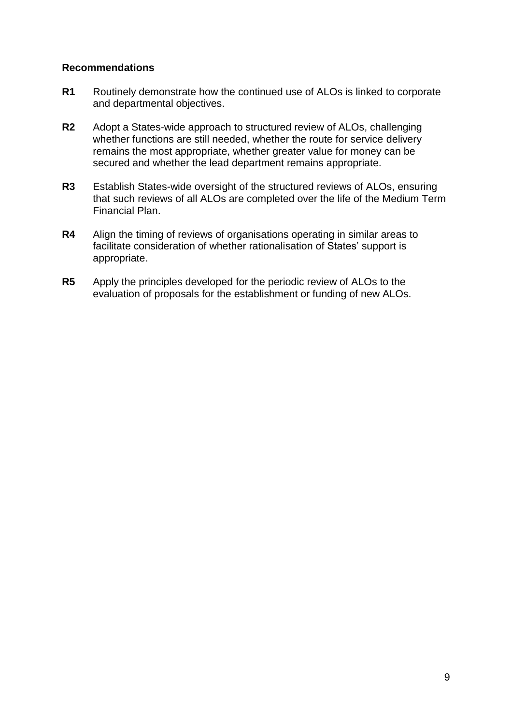### **Recommendations**

- **R1** Routinely demonstrate how the continued use of ALOs is linked to corporate and departmental objectives.
- **R2** Adopt a States-wide approach to structured review of ALOs, challenging whether functions are still needed, whether the route for service delivery remains the most appropriate, whether greater value for money can be secured and whether the lead department remains appropriate.
- **R3** Establish States-wide oversight of the structured reviews of ALOs, ensuring that such reviews of all ALOs are completed over the life of the Medium Term Financial Plan.
- **R4** Align the timing of reviews of organisations operating in similar areas to facilitate consideration of whether rationalisation of States' support is appropriate.
- **R5** Apply the principles developed for the periodic review of ALOs to the evaluation of proposals for the establishment or funding of new ALOs.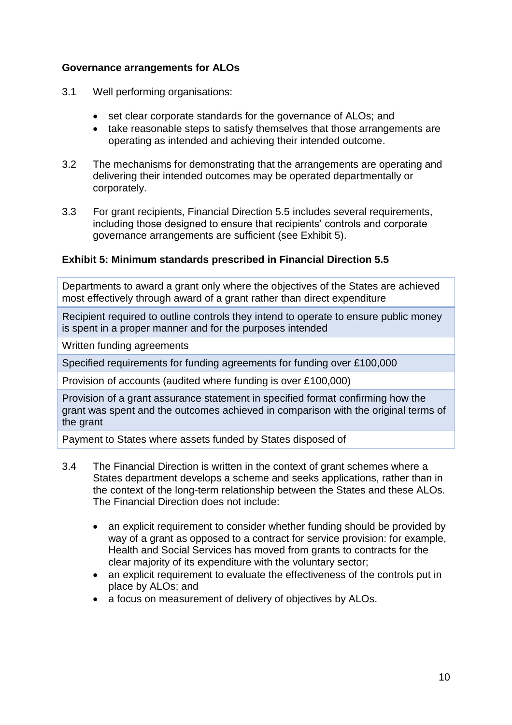# **Governance arrangements for ALOs**

- 3.1 Well performing organisations:
	- set clear corporate standards for the governance of ALOs; and
	- take reasonable steps to satisfy themselves that those arrangements are operating as intended and achieving their intended outcome.
- 3.2 The mechanisms for demonstrating that the arrangements are operating and delivering their intended outcomes may be operated departmentally or corporately.
- 3.3 For grant recipients, Financial Direction 5.5 includes several requirements, including those designed to ensure that recipients' controls and corporate governance arrangements are sufficient (see Exhibit 5).

#### **Exhibit 5: Minimum standards prescribed in Financial Direction 5.5**

Departments to award a grant only where the objectives of the States are achieved most effectively through award of a grant rather than direct expenditure

Recipient required to outline controls they intend to operate to ensure public money is spent in a proper manner and for the purposes intended

Written funding agreements

Specified requirements for funding agreements for funding over £100,000

Provision of accounts (audited where funding is over £100,000)

Provision of a grant assurance statement in specified format confirming how the grant was spent and the outcomes achieved in comparison with the original terms of the grant

Payment to States where assets funded by States disposed of

- 3.4 The Financial Direction is written in the context of grant schemes where a States department develops a scheme and seeks applications, rather than in the context of the long-term relationship between the States and these ALOs. The Financial Direction does not include:
	- an explicit requirement to consider whether funding should be provided by way of a grant as opposed to a contract for service provision: for example, Health and Social Services has moved from grants to contracts for the clear majority of its expenditure with the voluntary sector;
	- an explicit requirement to evaluate the effectiveness of the controls put in place by ALOs; and
	- a focus on measurement of delivery of objectives by ALOs.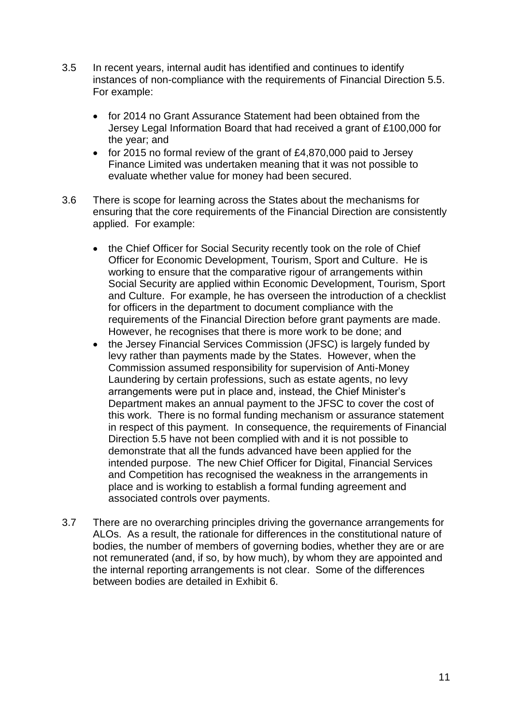- 3.5 In recent years, internal audit has identified and continues to identify instances of non-compliance with the requirements of Financial Direction 5.5. For example:
	- for 2014 no Grant Assurance Statement had been obtained from the Jersey Legal Information Board that had received a grant of £100,000 for the year; and
	- for 2015 no formal review of the grant of £4,870,000 paid to Jersey Finance Limited was undertaken meaning that it was not possible to evaluate whether value for money had been secured.
- 3.6 There is scope for learning across the States about the mechanisms for ensuring that the core requirements of the Financial Direction are consistently applied. For example:
	- the Chief Officer for Social Security recently took on the role of Chief Officer for Economic Development, Tourism, Sport and Culture. He is working to ensure that the comparative rigour of arrangements within Social Security are applied within Economic Development, Tourism, Sport and Culture. For example, he has overseen the introduction of a checklist for officers in the department to document compliance with the requirements of the Financial Direction before grant payments are made. However, he recognises that there is more work to be done; and
	- the Jersey Financial Services Commission (JFSC) is largely funded by levy rather than payments made by the States. However, when the Commission assumed responsibility for supervision of Anti-Money Laundering by certain professions, such as estate agents, no levy arrangements were put in place and, instead, the Chief Minister's Department makes an annual payment to the JFSC to cover the cost of this work. There is no formal funding mechanism or assurance statement in respect of this payment. In consequence, the requirements of Financial Direction 5.5 have not been complied with and it is not possible to demonstrate that all the funds advanced have been applied for the intended purpose. The new Chief Officer for Digital, Financial Services and Competition has recognised the weakness in the arrangements in place and is working to establish a formal funding agreement and associated controls over payments.
- 3.7 There are no overarching principles driving the governance arrangements for ALOs. As a result, the rationale for differences in the constitutional nature of bodies, the number of members of governing bodies, whether they are or are not remunerated (and, if so, by how much), by whom they are appointed and the internal reporting arrangements is not clear. Some of the differences between bodies are detailed in Exhibit 6.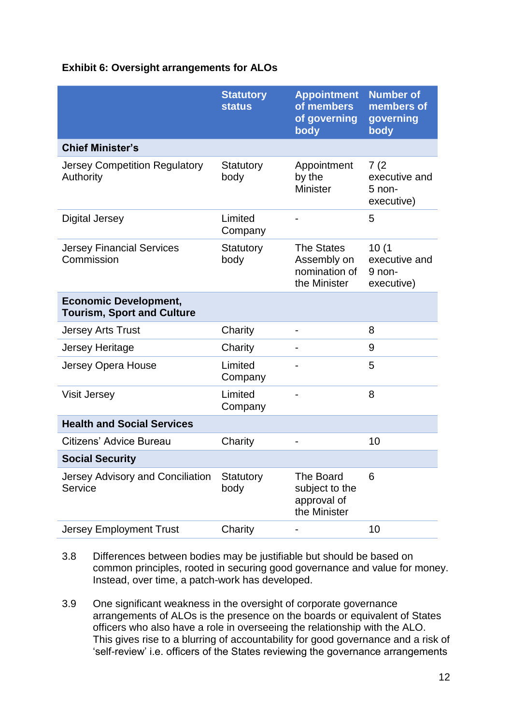# **Exhibit 6: Oversight arrangements for ALOs**

|                                                                   | <b>Statutory</b><br><b>status</b> | <b>Appointment</b><br>of members<br>of governing<br>body   | <b>Number of</b><br>members of<br>governing<br>body |
|-------------------------------------------------------------------|-----------------------------------|------------------------------------------------------------|-----------------------------------------------------|
| <b>Chief Minister's</b>                                           |                                   |                                                            |                                                     |
| <b>Jersey Competition Regulatory</b><br>Authority                 | Statutory<br>body                 | Appointment<br>by the<br><b>Minister</b>                   | 7(2)<br>executive and<br>$5$ non-<br>executive)     |
| Digital Jersey                                                    | Limited<br>Company                |                                                            | 5                                                   |
| <b>Jersey Financial Services</b><br>Commission                    | Statutory<br>body                 | The States<br>Assembly on<br>nomination of<br>the Minister | 10(1)<br>executive and<br>9 non-<br>executive)      |
| <b>Economic Development,</b><br><b>Tourism, Sport and Culture</b> |                                   |                                                            |                                                     |
| <b>Jersey Arts Trust</b>                                          | Charity                           |                                                            | 8                                                   |
| Jersey Heritage                                                   | Charity                           |                                                            | 9                                                   |
| Jersey Opera House                                                | Limited<br>Company                |                                                            | 5                                                   |
| <b>Visit Jersey</b>                                               | Limited<br>Company                |                                                            | 8                                                   |
| <b>Health and Social Services</b>                                 |                                   |                                                            |                                                     |
| Citizens' Advice Bureau                                           | Charity                           |                                                            | 10                                                  |
| <b>Social Security</b>                                            |                                   |                                                            |                                                     |
| Jersey Advisory and Conciliation<br>Service                       | Statutory<br>body                 | The Board<br>subject to the<br>approval of<br>the Minister | 6                                                   |
| <b>Jersey Employment Trust</b>                                    | Charity                           |                                                            | 10                                                  |

- 3.8 Differences between bodies may be justifiable but should be based on common principles, rooted in securing good governance and value for money. Instead, over time, a patch-work has developed.
- 3.9 One significant weakness in the oversight of corporate governance arrangements of ALOs is the presence on the boards or equivalent of States officers who also have a role in overseeing the relationship with the ALO. This gives rise to a blurring of accountability for good governance and a risk of 'self-review' i.e. officers of the States reviewing the governance arrangements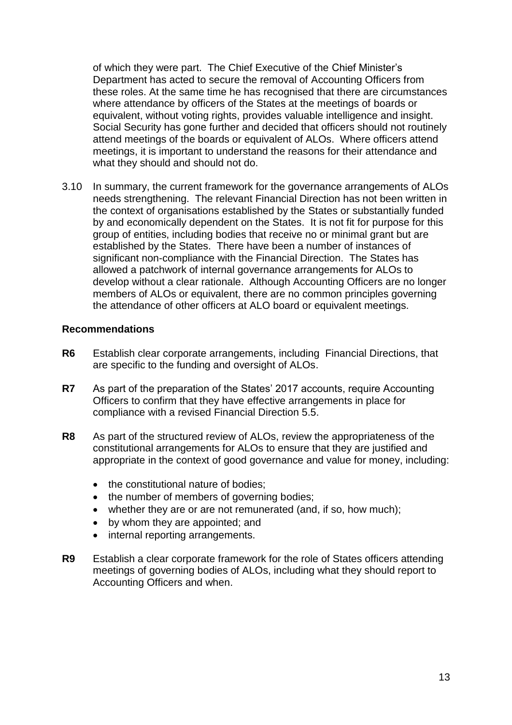of which they were part. The Chief Executive of the Chief Minister's Department has acted to secure the removal of Accounting Officers from these roles. At the same time he has recognised that there are circumstances where attendance by officers of the States at the meetings of boards or equivalent, without voting rights, provides valuable intelligence and insight. Social Security has gone further and decided that officers should not routinely attend meetings of the boards or equivalent of ALOs. Where officers attend meetings, it is important to understand the reasons for their attendance and what they should and should not do.

3.10 In summary, the current framework for the governance arrangements of ALOs needs strengthening. The relevant Financial Direction has not been written in the context of organisations established by the States or substantially funded by and economically dependent on the States. It is not fit for purpose for this group of entities, including bodies that receive no or minimal grant but are established by the States. There have been a number of instances of significant non-compliance with the Financial Direction. The States has allowed a patchwork of internal governance arrangements for ALOs to develop without a clear rationale. Although Accounting Officers are no longer members of ALOs or equivalent, there are no common principles governing the attendance of other officers at ALO board or equivalent meetings.

#### **Recommendations**

- **R6** Establish clear corporate arrangements, including Financial Directions, that are specific to the funding and oversight of ALOs.
- **R7** As part of the preparation of the States' 2017 accounts, require Accounting Officers to confirm that they have effective arrangements in place for compliance with a revised Financial Direction 5.5.
- **R8** As part of the structured review of ALOs, review the appropriateness of the constitutional arrangements for ALOs to ensure that they are justified and appropriate in the context of good governance and value for money, including:
	- the constitutional nature of bodies;
	- the number of members of governing bodies;
	- whether they are or are not remunerated (and, if so, how much);
	- by whom they are appointed; and
	- internal reporting arrangements.
- **R9** Establish a clear corporate framework for the role of States officers attending meetings of governing bodies of ALOs, including what they should report to Accounting Officers and when.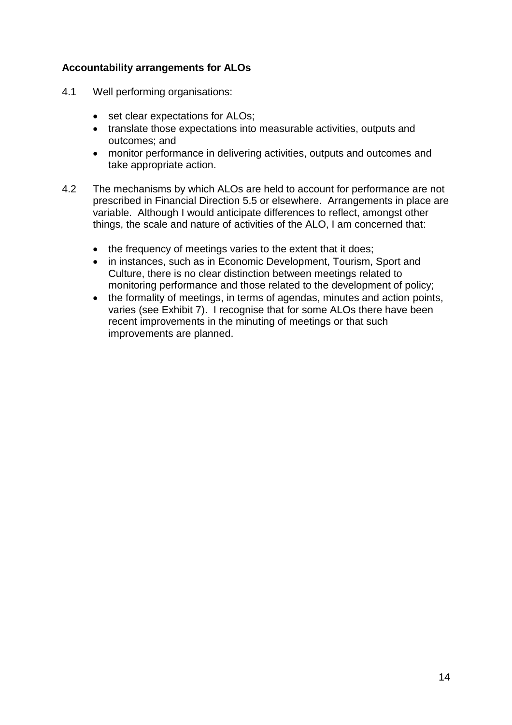# **Accountability arrangements for ALOs**

- 4.1 Well performing organisations:
	- set clear expectations for ALOs;
	- translate those expectations into measurable activities, outputs and outcomes; and
	- monitor performance in delivering activities, outputs and outcomes and take appropriate action.
- 4.2 The mechanisms by which ALOs are held to account for performance are not prescribed in Financial Direction 5.5 or elsewhere. Arrangements in place are variable. Although I would anticipate differences to reflect, amongst other things, the scale and nature of activities of the ALO, I am concerned that:
	- the frequency of meetings varies to the extent that it does;
	- in instances, such as in Economic Development, Tourism, Sport and Culture, there is no clear distinction between meetings related to monitoring performance and those related to the development of policy;
	- the formality of meetings, in terms of agendas, minutes and action points, varies (see Exhibit 7). I recognise that for some ALOs there have been recent improvements in the minuting of meetings or that such improvements are planned.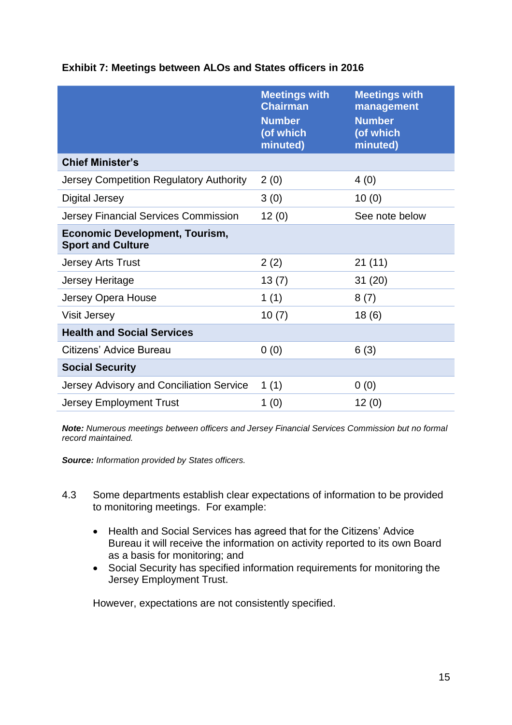|                                                                   | <b>Meetings with</b><br><b>Chairman</b><br><b>Number</b><br>(of which<br>minuted) | <b>Meetings with</b><br>management<br><b>Number</b><br>(of which<br>minuted) |
|-------------------------------------------------------------------|-----------------------------------------------------------------------------------|------------------------------------------------------------------------------|
| <b>Chief Minister's</b>                                           |                                                                                   |                                                                              |
| Jersey Competition Regulatory Authority                           | 2(0)                                                                              | 4(0)                                                                         |
| <b>Digital Jersey</b>                                             | 3(0)                                                                              | 10(0)                                                                        |
| <b>Jersey Financial Services Commission</b>                       | 12(0)                                                                             | See note below                                                               |
| <b>Economic Development, Tourism,</b><br><b>Sport and Culture</b> |                                                                                   |                                                                              |
| <b>Jersey Arts Trust</b>                                          | 2(2)                                                                              | 21 (11)                                                                      |
| Jersey Heritage                                                   | 13(7)                                                                             | 31(20)                                                                       |
| Jersey Opera House                                                | 1 $(1)$                                                                           | 8(7)                                                                         |
| <b>Visit Jersey</b>                                               | 10(7)                                                                             | 18(6)                                                                        |
| <b>Health and Social Services</b>                                 |                                                                                   |                                                                              |
| Citizens' Advice Bureau                                           | 0(0)                                                                              | 6(3)                                                                         |
| <b>Social Security</b>                                            |                                                                                   |                                                                              |
| Jersey Advisory and Conciliation Service                          | 1(1)                                                                              | 0(0)                                                                         |
| <b>Jersey Employment Trust</b>                                    | 1(0)                                                                              | 12(0)                                                                        |

# **Exhibit 7: Meetings between ALOs and States officers in 2016**

*Note: Numerous meetings between officers and Jersey Financial Services Commission but no formal record maintained.*

*Source: Information provided by States officers.*

- 4.3 Some departments establish clear expectations of information to be provided to monitoring meetings. For example:
	- Health and Social Services has agreed that for the Citizens' Advice Bureau it will receive the information on activity reported to its own Board as a basis for monitoring; and
	- Social Security has specified information requirements for monitoring the Jersey Employment Trust.

However, expectations are not consistently specified.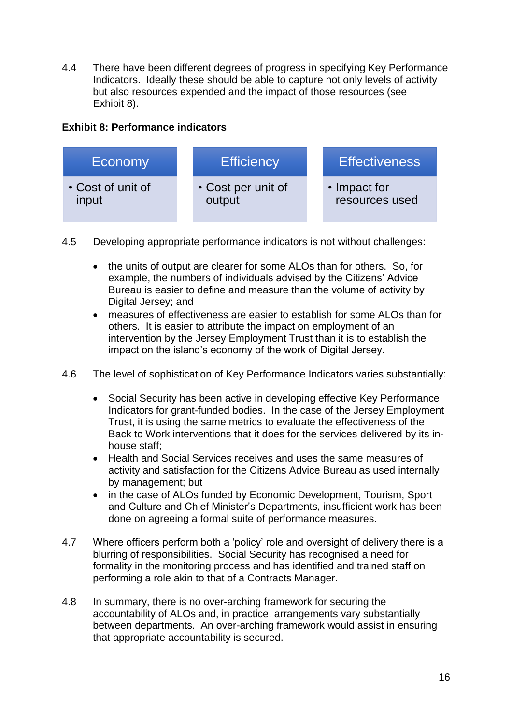4.4 There have been different degrees of progress in specifying Key Performance Indicators. Ideally these should be able to capture not only levels of activity but also resources expended and the impact of those resources (see Exhibit 8).

# **Exhibit 8: Performance indicators**



- 4.5 Developing appropriate performance indicators is not without challenges:
	- the units of output are clearer for some ALOs than for others. So, for example, the numbers of individuals advised by the Citizens' Advice Bureau is easier to define and measure than the volume of activity by Digital Jersey; and
	- measures of effectiveness are easier to establish for some ALOs than for others. It is easier to attribute the impact on employment of an intervention by the Jersey Employment Trust than it is to establish the impact on the island's economy of the work of Digital Jersey.
- 4.6 The level of sophistication of Key Performance Indicators varies substantially:
	- Social Security has been active in developing effective Key Performance Indicators for grant-funded bodies. In the case of the Jersey Employment Trust, it is using the same metrics to evaluate the effectiveness of the Back to Work interventions that it does for the services delivered by its inhouse staff;
	- Health and Social Services receives and uses the same measures of activity and satisfaction for the Citizens Advice Bureau as used internally by management; but
	- in the case of ALOs funded by Economic Development, Tourism, Sport and Culture and Chief Minister's Departments, insufficient work has been done on agreeing a formal suite of performance measures.
- 4.7 Where officers perform both a 'policy' role and oversight of delivery there is a blurring of responsibilities. Social Security has recognised a need for formality in the monitoring process and has identified and trained staff on performing a role akin to that of a Contracts Manager.
- 4.8 In summary, there is no over-arching framework for securing the accountability of ALOs and, in practice, arrangements vary substantially between departments. An over-arching framework would assist in ensuring that appropriate accountability is secured.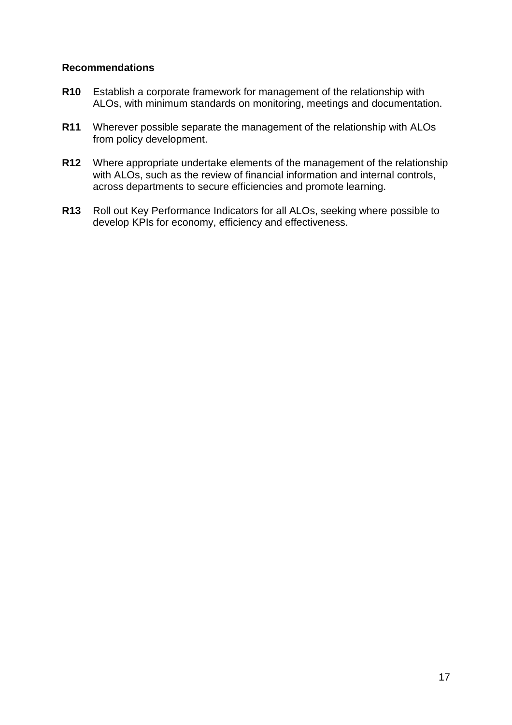### **Recommendations**

- **R10** Establish a corporate framework for management of the relationship with ALOs, with minimum standards on monitoring, meetings and documentation.
- **R11** Wherever possible separate the management of the relationship with ALOs from policy development.
- **R12** Where appropriate undertake elements of the management of the relationship with ALOs, such as the review of financial information and internal controls, across departments to secure efficiencies and promote learning.
- **R13** Roll out Key Performance Indicators for all ALOs, seeking where possible to develop KPIs for economy, efficiency and effectiveness.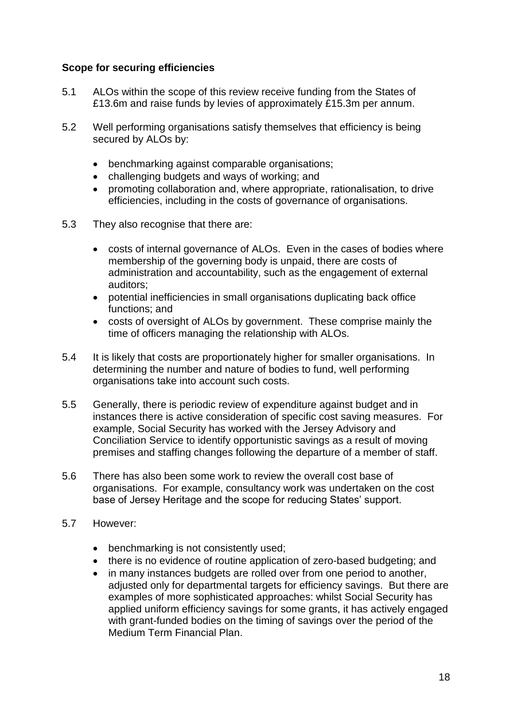# **Scope for securing efficiencies**

- 5.1 ALOs within the scope of this review receive funding from the States of £13.6m and raise funds by levies of approximately £15.3m per annum.
- 5.2 Well performing organisations satisfy themselves that efficiency is being secured by ALOs by:
	- benchmarking against comparable organisations;
	- challenging budgets and ways of working; and
	- promoting collaboration and, where appropriate, rationalisation, to drive efficiencies, including in the costs of governance of organisations.
- 5.3 They also recognise that there are:
	- costs of internal governance of ALOs. Even in the cases of bodies where membership of the governing body is unpaid, there are costs of administration and accountability, such as the engagement of external auditors;
	- potential inefficiencies in small organisations duplicating back office functions; and
	- costs of oversight of ALOs by government. These comprise mainly the time of officers managing the relationship with ALOs.
- 5.4 It is likely that costs are proportionately higher for smaller organisations. In determining the number and nature of bodies to fund, well performing organisations take into account such costs.
- 5.5 Generally, there is periodic review of expenditure against budget and in instances there is active consideration of specific cost saving measures. For example, Social Security has worked with the Jersey Advisory and Conciliation Service to identify opportunistic savings as a result of moving premises and staffing changes following the departure of a member of staff.
- 5.6 There has also been some work to review the overall cost base of organisations. For example, consultancy work was undertaken on the cost base of Jersey Heritage and the scope for reducing States' support.
- 5.7 However:
	- benchmarking is not consistently used;
	- there is no evidence of routine application of zero-based budgeting; and
	- in many instances budgets are rolled over from one period to another, adjusted only for departmental targets for efficiency savings. But there are examples of more sophisticated approaches: whilst Social Security has applied uniform efficiency savings for some grants, it has actively engaged with grant-funded bodies on the timing of savings over the period of the Medium Term Financial Plan.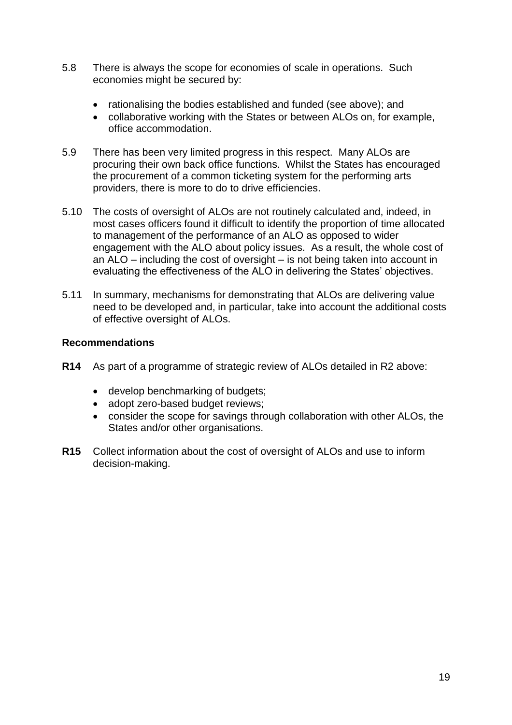- 5.8 There is always the scope for economies of scale in operations. Such economies might be secured by:
	- rationalising the bodies established and funded (see above); and
	- collaborative working with the States or between ALOs on, for example, office accommodation.
- 5.9 There has been very limited progress in this respect. Many ALOs are procuring their own back office functions. Whilst the States has encouraged the procurement of a common ticketing system for the performing arts providers, there is more to do to drive efficiencies.
- 5.10 The costs of oversight of ALOs are not routinely calculated and, indeed, in most cases officers found it difficult to identify the proportion of time allocated to management of the performance of an ALO as opposed to wider engagement with the ALO about policy issues. As a result, the whole cost of an ALO – including the cost of oversight – is not being taken into account in evaluating the effectiveness of the ALO in delivering the States' objectives.
- 5.11 In summary, mechanisms for demonstrating that ALOs are delivering value need to be developed and, in particular, take into account the additional costs of effective oversight of ALOs.

# **Recommendations**

- **R14** As part of a programme of strategic review of ALOs detailed in R2 above:
	- develop benchmarking of budgets;
	- adopt zero-based budget reviews;
	- consider the scope for savings through collaboration with other ALOs, the States and/or other organisations.
- **R15** Collect information about the cost of oversight of ALOs and use to inform decision-making.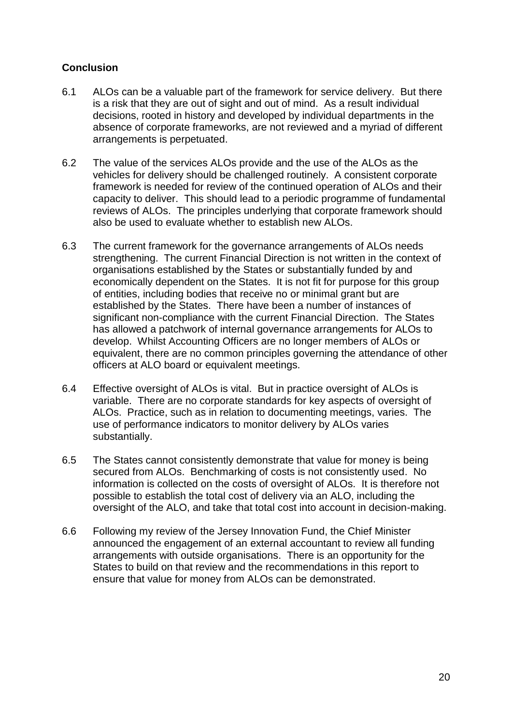# **Conclusion**

- 6.1 ALOs can be a valuable part of the framework for service delivery. But there is a risk that they are out of sight and out of mind. As a result individual decisions, rooted in history and developed by individual departments in the absence of corporate frameworks, are not reviewed and a myriad of different arrangements is perpetuated.
- 6.2 The value of the services ALOs provide and the use of the ALOs as the vehicles for delivery should be challenged routinely. A consistent corporate framework is needed for review of the continued operation of ALOs and their capacity to deliver. This should lead to a periodic programme of fundamental reviews of ALOs. The principles underlying that corporate framework should also be used to evaluate whether to establish new ALOs.
- 6.3 The current framework for the governance arrangements of ALOs needs strengthening. The current Financial Direction is not written in the context of organisations established by the States or substantially funded by and economically dependent on the States. It is not fit for purpose for this group of entities, including bodies that receive no or minimal grant but are established by the States. There have been a number of instances of significant non-compliance with the current Financial Direction. The States has allowed a patchwork of internal governance arrangements for ALOs to develop. Whilst Accounting Officers are no longer members of ALOs or equivalent, there are no common principles governing the attendance of other officers at ALO board or equivalent meetings.
- 6.4 Effective oversight of ALOs is vital. But in practice oversight of ALOs is variable. There are no corporate standards for key aspects of oversight of ALOs. Practice, such as in relation to documenting meetings, varies. The use of performance indicators to monitor delivery by ALOs varies substantially.
- 6.5 The States cannot consistently demonstrate that value for money is being secured from ALOs. Benchmarking of costs is not consistently used. No information is collected on the costs of oversight of ALOs. It is therefore not possible to establish the total cost of delivery via an ALO, including the oversight of the ALO, and take that total cost into account in decision-making.
- 6.6 Following my review of the Jersey Innovation Fund, the Chief Minister announced the engagement of an external accountant to review all funding arrangements with outside organisations. There is an opportunity for the States to build on that review and the recommendations in this report to ensure that value for money from ALOs can be demonstrated.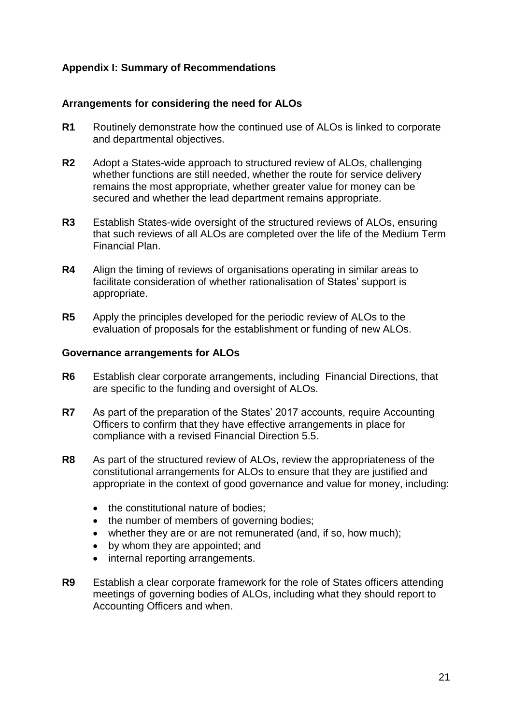# **Appendix I: Summary of Recommendations**

# **Arrangements for considering the need for ALOs**

- **R1** Routinely demonstrate how the continued use of ALOs is linked to corporate and departmental objectives.
- **R2** Adopt a States-wide approach to structured review of ALOs, challenging whether functions are still needed, whether the route for service delivery remains the most appropriate, whether greater value for money can be secured and whether the lead department remains appropriate.
- **R3** Establish States-wide oversight of the structured reviews of ALOs, ensuring that such reviews of all ALOs are completed over the life of the Medium Term Financial Plan.
- **R4** Align the timing of reviews of organisations operating in similar areas to facilitate consideration of whether rationalisation of States' support is appropriate.
- **R5** Apply the principles developed for the periodic review of ALOs to the evaluation of proposals for the establishment or funding of new ALOs.

#### **Governance arrangements for ALOs**

- **R6** Establish clear corporate arrangements, including Financial Directions, that are specific to the funding and oversight of ALOs.
- **R7** As part of the preparation of the States' 2017 accounts, require Accounting Officers to confirm that they have effective arrangements in place for compliance with a revised Financial Direction 5.5.
- **R8** As part of the structured review of ALOs, review the appropriateness of the constitutional arrangements for ALOs to ensure that they are justified and appropriate in the context of good governance and value for money, including:
	- the constitutional nature of bodies;
	- the number of members of governing bodies;
	- whether they are or are not remunerated (and, if so, how much);
	- by whom they are appointed; and
	- internal reporting arrangements.
- **R9** Establish a clear corporate framework for the role of States officers attending meetings of governing bodies of ALOs, including what they should report to Accounting Officers and when.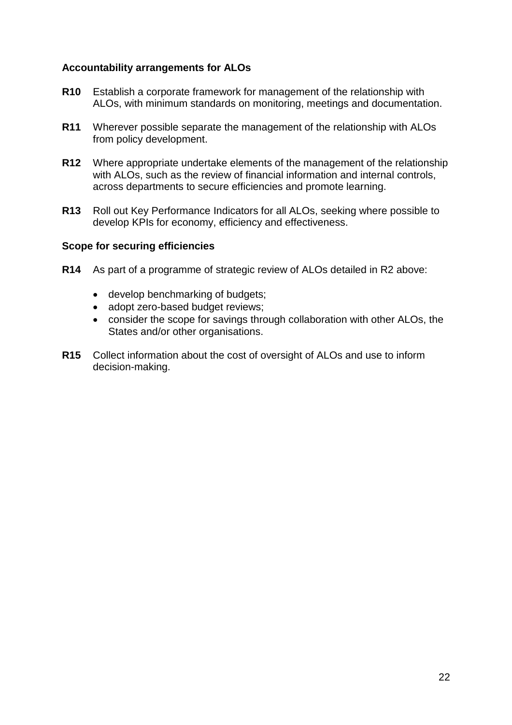# **Accountability arrangements for ALOs**

- **R10** Establish a corporate framework for management of the relationship with ALOs, with minimum standards on monitoring, meetings and documentation.
- **R11** Wherever possible separate the management of the relationship with ALOs from policy development.
- **R12** Where appropriate undertake elements of the management of the relationship with ALOs, such as the review of financial information and internal controls, across departments to secure efficiencies and promote learning.
- **R13** Roll out Key Performance Indicators for all ALOs, seeking where possible to develop KPIs for economy, efficiency and effectiveness.

#### **Scope for securing efficiencies**

- **R14** As part of a programme of strategic review of ALOs detailed in R2 above:
	- develop benchmarking of budgets;
	- adopt zero-based budget reviews;
	- consider the scope for savings through collaboration with other ALOs, the States and/or other organisations.
- **R15** Collect information about the cost of oversight of ALOs and use to inform decision-making.